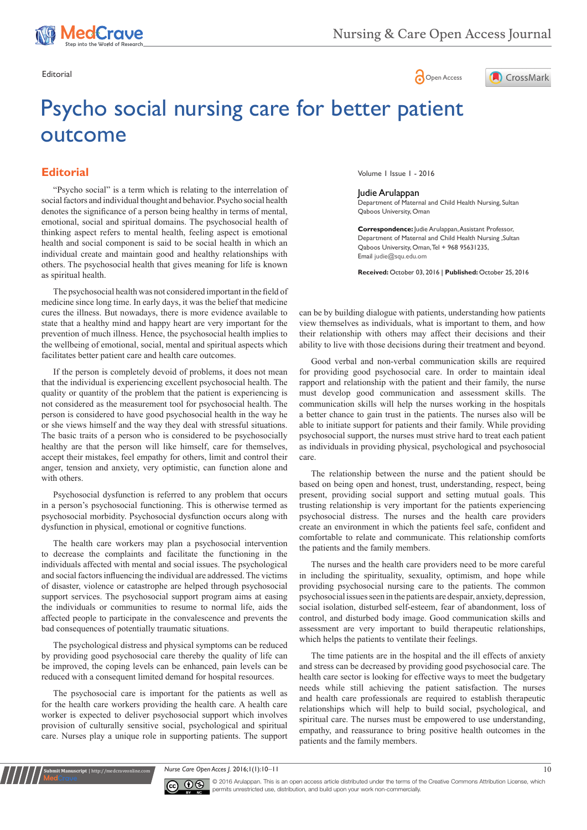





## Psycho social nursing care for better patient outcome

## **Editorial**

"Psycho social" is a term which is relating to the interrelation of social factors and individual thought and behavior. Psycho social health denotes the significance of a person being healthy in terms of mental, emotional, social and spiritual domains. The psychosocial health of thinking aspect refers to mental health, feeling aspect is emotional health and social component is said to be social health in which an individual create and maintain good and healthy relationships with others. The psychosocial health that gives meaning for life is known as spiritual health.

cures the illness. But nowadays, there is more evidence available to state that a healthy mind and happy heart are very important for the prevention of much illness. Hence, the psychosocial health implies to the wellbeing of emotional, social, mental and spiritual aspects which facilitates better patient care and health care outcomes. The psychosocial health was not considered important in the field of medicine since long time. In early days, it was the belief that medicine

If the person is completely devoid of problems, it does not mean that the individual is experiencing excellent psychosocial health. The quality or quantity of the problem that the patient is experiencing is not considered as the measurement tool for psychosocial health. The person is considered to have good psychosocial health in the way he or she views himself and the way they deal with stressful situations. The basic traits of a person who is considered to be psychosocially healthy are that the person will like himself, care for themselves, accept their mistakes, feel empathy for others, limit and control their anger, tension and anxiety, very optimistic, can function alone and with others.

Psychosocial dysfunction is referred to any problem that occurs in a person's psychosocial functioning. This is otherwise termed as psychosocial morbidity. Psychosocial dysfunction occurs along with dysfunction in physical, emotional or cognitive functions.

The health care workers may plan a psychosocial intervention to decrease the complaints and facilitate the functioning in the individuals affected with mental and social issues. The psychological and social factors influencing the individual are addressed. The victims of disaster, violence or catastrophe are helped through psychosocial support services. The psychosocial support program aims at easing the individuals or communities to resume to normal life, aids the affected people to participate in the convalescence and prevents the bad consequences of potentially traumatic situations.

The psychological distress and physical symptoms can be reduced by providing good psychosocial care thereby the quality of life can be improved, the coping levels can be enhanced, pain levels can be reduced with a consequent limited demand for hospital resources.

The psychosocial care is important for the patients as well as for the health care workers providing the health care. A health care worker is expected to deliver psychosocial support which involves provision of culturally sensitive social, psychological and spiritual care. Nurses play a unique role in supporting patients. The support

**nit Manuscript** | http://medcraveonline.c

Volume 1 Issue 1 - 2016

Judie Arulappan

Department of Maternal and Child Health Nursing, Sultan Qaboos University, Oman

**Correspondence:** Judie Arulappan, Assistant Professor, Department of Maternal and Child Health Nursing ,Sultan Qaboos University, Oman, Tel + 968 95631235, Email judie@squ.edu.om

**Received:** October 03, 2016 | **Published:** October 25, 2016

can be by building dialogue with patients, understanding how patients view themselves as individuals, what is important to them, and how their relationship with others may affect their decisions and their ability to live with those decisions during their treatment and beyond.

Good verbal and non-verbal communication skills are required for providing good psychosocial care. In order to maintain ideal rapport and relationship with the patient and their family, the nurse must develop good communication and assessment skills. The communication skills will help the nurses working in the hospitals a better chance to gain trust in the patients. The nurses also will be able to initiate support for patients and their family. While providing psychosocial support, the nurses must strive hard to treat each patient as individuals in providing physical, psychological and psychosocial care.

The relationship between the nurse and the patient should be based on being open and honest, trust, understanding, respect, being present, providing social support and setting mutual goals. This trusting relationship is very important for the patients experiencing psychosocial distress. The nurses and the health care providers create an environment in which the patients feel safe, confident and comfortable to relate and communicate. This relationship comforts the patients and the family members.

The nurses and the health care providers need to be more careful in including the spirituality, sexuality, optimism, and hope while providing psychosocial nursing care to the patients. The common psychosocial issues seen in the patients are despair, anxiety, depression, social isolation, disturbed self-esteem, fear of abandonment, loss of control, and disturbed body image. Good communication skills and assessment are very important to build therapeutic relationships, which helps the patients to ventilate their feelings.

The time patients are in the hospital and the ill effects of anxiety and stress can be decreased by providing good psychosocial care. The health care sector is looking for effective ways to meet the budgetary needs while still achieving the patient satisfaction. The nurses and health care professionals are required to establish therapeutic relationships which will help to build social, psychological, and spiritual care. The nurses must be empowered to use understanding, empathy, and reassurance to bring positive health outcomes in the patients and the family members.

*Nurse Care Open Acces J.* 2016;1(1):10–11 10



© 2016 Arulappan. This is an open access article distributed under the terms of the [Creative Commons Attribution License](https://creativecommons.org/licenses/by-nc/4.0/), which permits unrestricted use, distribution, and build upon your work non-commercially.